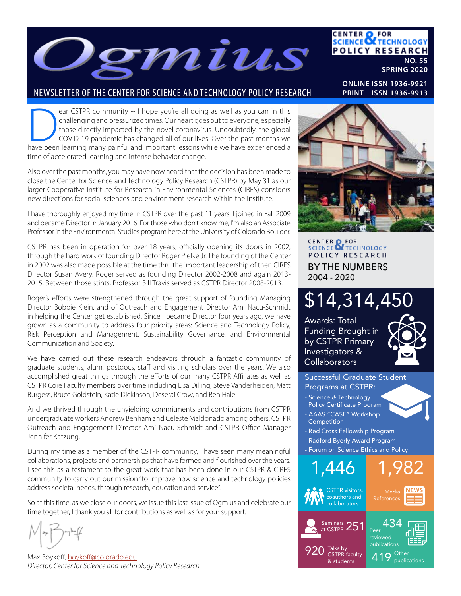

### NEWSLETTER OF THE CENTER FOR SCIENCE AND TECHNOLOGY POLICY RESEARCH

ear CSTPR community ~ I hope you're all doing as well as you can in this challenging and pressurized times. Our heart goes out to everyone, especially those directly impacted by the novel coronavirus. Undoubtedly, the glob challenging and pressurized times. Our heart goes out to everyone, especially those directly impacted by the novel coronavirus. Undoubtedly, the global

COVID-19 pandemic has changed all of our lives. Over the past months we have been learning many painful and important lessons while we have experienced a time of accelerated learning and intense behavior change.

Also over the past months, you may have now heard that the decision has been made to close the Center for Science and Technology Policy Research (CSTPR) by May 31 as our larger Cooperative Institute for Research in Environmental Sciences (CIRES) considers new directions for social sciences and environment research within the Institute.

I have thoroughly enjoyed my time in CSTPR over the past 11 years. I joined in Fall 2009 and became Director in January 2016. For those who don't know me, I'm also an Associate Professor in the Environmental Studies program here at the University of Colorado Boulder.

CSTPR has been in operation for over 18 years, officially opening its doors in 2002, through the hard work of founding Director Roger Pielke Jr. The founding of the Center in 2002 was also made possible at the time thru the important leadership of then CIRES Director Susan Avery. Roger served as founding Director 2002-2008 and again 2013- 2015. Between those stints, Professor Bill Travis served as CSTPR Director 2008-2013.

Roger's efforts were strengthened through the great support of founding Managing Director Bobbie Klein, and of Outreach and Engagement Director Ami Nacu-Schmidt in helping the Center get established. Since I became Director four years ago, we have grown as a community to address four priority areas: Science and Technology Policy, Risk Perception and Management, Sustainability Governance, and Environmental Communication and Society.

We have carried out these research endeavors through a fantastic community of graduate students, alum, postdocs, staff and visiting scholars over the years. We also accomplished great things through the efforts of our many CSTPR Affiliates as well as CSTPR Core Faculty members over time including Lisa Dilling, Steve Vanderheiden, Matt Burgess, Bruce Goldstein, Katie Dickinson, Deserai Crow, and Ben Hale.

And we thrived through the unyielding commitments and contributions from CSTPR undergraduate workers Andrew Benham and Celeste Maldonado among others, CSTPR Outreach and Engagement Director Ami Nacu-Schmidt and CSTPR Office Manager Jennifer Katzung.

During my time as a member of the CSTPR community, I have seen many meaningful collaborations, projects and partnerships that have formed and flourished over the years. I see this as a testament to the great work that has been done in our CSTPR & CIRES community to carry out our mission "to improve how science and technology policies address societal needs, through research, education and service".

So at this time, as we close our doors, we issue this last issue of Ogmius and celebrate our time together, I thank you all for contributions as well as for your support.

Max Boykoff, boykoff@colorado.edu *Director, Center for Science and Technology Policy Research*

**CENTER OF FOR<br>SCIENCE OF TECHNOLOGY** POLICY RESEARCH BY THE NUMBERS 2004 - 2020

# \$14,314,450

Awards: Total Funding Brought in by CSTPR Primary Investigators & **Collaborators** 





### **NO. 55 SPRING 2020**

**CENTER OF FOR<br>SCIENCE OF TECHNOLOGY** 

**POLICY RESEARCH** 

**ONLINE ISSN 1936-9921 PRINT ISSN 1936-9913**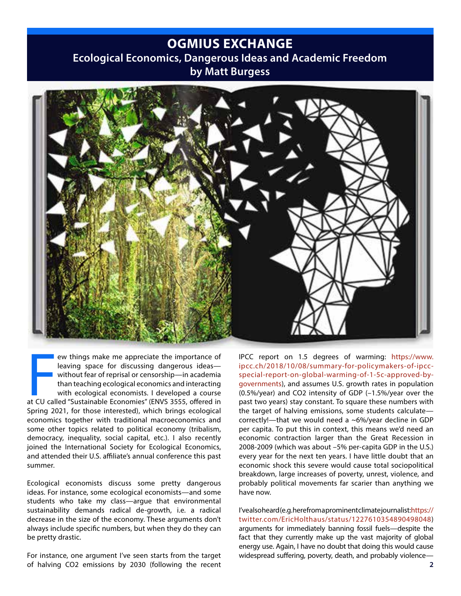### **OGMIUS EXCHANGE**

### **Ecological Economics, Dangerous Ideas and Academic Freedom by Matt Burgess**



France of Teaving space for discussing dangerous ideas—<br>
without fear of reprisal or censorship—in academia<br>
than teaching ecological economics and interacting<br>
with ecological economists. I developed a course<br>
at CU calle ew things make me appreciate the importance of leaving space for discussing dangerous ideas without fear of reprisal or censorship—in academia than teaching ecological economics and interacting with ecological economists. I developed a course Spring 2021, for those interested), which brings ecological economics together with traditional macroeconomics and some other topics related to political economy (tribalism, democracy, inequality, social capital, etc.). I also recently joined the International Society for Ecological Economics, and attended their U.S. affiliate's annual conference this past summer.

Ecological economists discuss some pretty dangerous ideas. For instance, some ecological economists—and some students who take my class—argue that environmental sustainability demands radical de-growth, i.e. a radical decrease in the size of the economy. These arguments don't always include specific numbers, but when they do they can be pretty drastic.

For instance, one argument I've seen starts from the target of halving CO2 emissions by 2030 (following the recent

IPCC report on 1.5 degrees of warming: https://www. ipcc.ch/2018/10/08/summary-for-policymakers-of-ipccspecial-report-on-global-warming-of-1-5c-approved-bygovernments), and assumes U.S. growth rates in population (0.5%/year) and CO2 intensity of GDP (–1.5%/year over the past two years) stay constant. To square these numbers with the target of halving emissions, some students calculate correctly!—that we would need a ~6%/year decline in GDP per capita. To put this in context, this means we'd need an economic contraction larger than the Great Recession in 2008-2009 (which was about –5% per-capita GDP in the U.S.) every year for the next ten years. I have little doubt that an economic shock this severe would cause total sociopolitical breakdown, large increases of poverty, unrest, violence, and probably political movements far scarier than anything we have now.

I've also heard (e.g. here from a prominent climate journalist:https:// twitter.com/EricHolthaus/status/1227610354890498048) arguments for immediately banning fossil fuels—despite the fact that they currently make up the vast majority of global energy use. Again, I have no doubt that doing this would cause widespread suffering, poverty, death, and probably violence—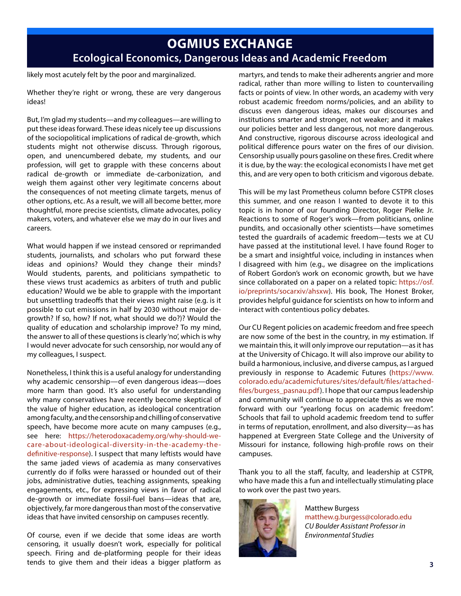## **OGMIUS EXCHANGE Ecological Economics, Dangerous Ideas and Academic Freedom**

likely most acutely felt by the poor and marginalized.

Whether they're right or wrong, these are very dangerous ideas!

But, I'm glad my students—and my colleagues—are willing to put these ideas forward. These ideas nicely tee up discussions of the sociopolitical implications of radical de-growth, which students might not otherwise discuss. Through rigorous, open, and unencumbered debate, my students, and our profession, will get to grapple with these concerns about radical de-growth or immediate de-carbonization, and weigh them against other very legitimate concerns about the consequences of not meeting climate targets, menus of other options, etc. As a result, we will all become better, more thoughtful, more precise scientists, climate advocates, policy makers, voters, and whatever else we may do in our lives and careers.

What would happen if we instead censored or reprimanded students, journalists, and scholars who put forward these ideas and opinions? Would they change their minds? Would students, parents, and politicians sympathetic to these views trust academics as arbiters of truth and public education? Would we be able to grapple with the important but unsettling tradeoffs that their views might raise (e.g. is it possible to cut emissions in half by 2030 without major degrowth? If so, how? If not, what should we do?)? Would the quality of education and scholarship improve? To my mind, the answer to all of these questions is clearly 'no', which is why I would never advocate for such censorship, nor would any of my colleagues, I suspect.

Nonetheless, I think this is a useful analogy for understanding why academic censorship—of even dangerous ideas—does more harm than good. It's also useful for understanding why many conservatives have recently become skeptical of the value of higher education, as ideological concentration among faculty, and the censorship and chilling of conservative speech, have become more acute on many campuses (e.g., see here: https://heterodoxacademy.org/why-should-wecare-about-ideological-diversity-in-the-academy-thedefinitive-response). I suspect that many leftists would have the same jaded views of academia as many conservatives currently do if folks were harassed or hounded out of their jobs, administrative duties, teaching assignments, speaking engagements, etc., for expressing views in favor of radical de-growth or immediate fossil-fuel bans—ideas that are, objectively, far more dangerous than most of the conservative ideas that have invited censorship on campuses recently.

Of course, even if we decide that some ideas are worth censoring, it usually doesn't work, especially for political speech. Firing and de-platforming people for their ideas tends to give them and their ideas a bigger platform as

martyrs, and tends to make their adherents angrier and more radical, rather than more willing to listen to countervailing facts or points of view. In other words, an academy with very robust academic freedom norms/policies, and an ability to discuss even dangerous ideas, makes our discourses and institutions smarter and stronger, not weaker; and it makes our policies better and less dangerous, not more dangerous. And constructive, rigorous discourse across ideological and political difference pours water on the fires of our division. Censorship usually pours gasoline on these fires. Credit where it is due, by the way: the ecological economists I have met get this, and are very open to both criticism and vigorous debate.

This will be my last Prometheus column before CSTPR closes this summer, and one reason I wanted to devote it to this topic is in honor of our founding Director, Roger Pielke Jr. Reactions to some of Roger's work—from politicians, online pundits, and occasionally other scientists—have sometimes tested the guardrails of academic freedom—tests we at CU have passed at the institutional level. I have found Roger to be a smart and insightful voice, including in instances when I disagreed with him (e.g., we disagree on the implications of Robert Gordon's work on economic growth, but we have since collaborated on a paper on a related topic: https://osf. io/preprints/socarxiv/ahsxw). His book, The Honest Broker, provides helpful guidance for scientists on how to inform and interact with contentious policy debates.

Our CU Regent policies on academic freedom and free speech are now some of the best in the country, in my estimation. If we maintain this, it will only improve our reputation—as it has at the University of Chicago. It will also improve our ability to build a harmonious, inclusive, and diverse campus, as I argued previously in response to Academic Futures (https://www. colorado.edu/academicfutures/sites/default/files/attachedfiles/burgess\_pasnau.pdf). I hope that our campus leadership and community will continue to appreciate this as we move forward with our "yearlong focus on academic freedom". Schools that fail to uphold academic freedom tend to suffer in terms of reputation, enrollment, and also diversity—as has happened at Evergreen State College and the University of Missouri for instance, following high-profile rows on their campuses.

Thank you to all the staff, faculty, and leadership at CSTPR, who have made this a fun and intellectually stimulating place to work over the past two years.



Matthew Burgess matthew.g.burgess@colorado.edu *CU Boulder Assistant Professor in Environmental Studies*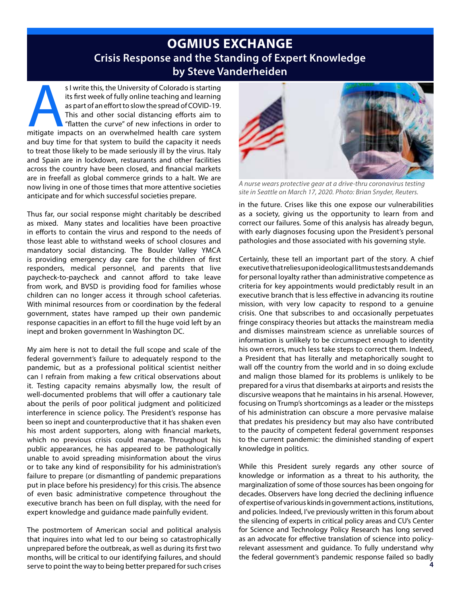### **OGMIUS EXCHANGE Crisis Response and the Standing of Expert Knowledge by Steve Vanderheiden**

s I write this, the University of Colorado is starting<br>
its first week of fully online teaching and learning<br>
as part of an effort to slow the spread of COVID-19.<br>
This and other social distancing efforts aim to<br>
"flatten its first week of fully online teaching and learning as part of an effort to slow the spread of COVID-19. This and other social distancing efforts aim to "flatten the curve" of new infections in order to and buy time for that system to build the capacity it needs to treat those likely to be made seriously ill by the virus. Italy and Spain are in lockdown, restaurants and other facilities across the country have been closed, and financial markets are in freefall as global commerce grinds to a halt. We are now living in one of those times that more attentive societies anticipate and for which successful societies prepare.

Thus far, our social response might charitably be described as mixed. Many states and localities have been proactive in efforts to contain the virus and respond to the needs of those least able to withstand weeks of school closures and mandatory social distancing. The Boulder Valley YMCA is providing emergency day care for the children of first responders, medical personnel, and parents that live paycheck-to-paycheck and cannot afford to take leave from work, and BVSD is providing food for families whose children can no longer access it through school cafeterias. With minimal resources from or coordination by the federal government, states have ramped up their own pandemic response capacities in an effort to fill the huge void left by an inept and broken government In Washington DC.

My aim here is not to detail the full scope and scale of the federal government's failure to adequately respond to the pandemic, but as a professional political scientist neither can I refrain from making a few critical observations about it. Testing capacity remains abysmally low, the result of well-documented problems that will offer a cautionary tale about the perils of poor political judgment and politicized interference in science policy. The President's response has been so inept and counterproductive that it has shaken even his most ardent supporters, along with financial markets, which no previous crisis could manage. Throughout his public appearances, he has appeared to be pathologically unable to avoid spreading misinformation about the virus or to take any kind of responsibility for his administration's failure to prepare (or dismantling of pandemic preparations put in place before his presidency) for this crisis. The absence of even basic administrative competence throughout the executive branch has been on full display, with the need for expert knowledge and guidance made painfully evident.

The postmortem of American social and political analysis that inquires into what led to our being so catastrophically unprepared before the outbreak, as well as during its first two months, will be critical to our identifying failures, and should serve to point the way to being better prepared for such crises



*A nurse wears protective gear at a drive-thru coronavirus testing site in Seattle on March 17, 2020. Photo: Brian Snyder, Reuters.*

in the future. Crises like this one expose our vulnerabilities as a society, giving us the opportunity to learn from and correct our failures. Some of this analysis has already begun, with early diagnoses focusing upon the President's personal pathologies and those associated with his governing style.

Certainly, these tell an important part of the story. A chief executive that relies upon ideological litmus tests and demands for personal loyalty rather than administrative competence as criteria for key appointments would predictably result in an executive branch that is less effective in advancing its routine mission, with very low capacity to respond to a genuine crisis. One that subscribes to and occasionally perpetuates fringe conspiracy theories but attacks the mainstream media and dismisses mainstream science as unreliable sources of information is unlikely to be circumspect enough to identity his own errors, much less take steps to correct them. Indeed, a President that has literally and metaphorically sought to wall off the country from the world and in so doing exclude and malign those blamed for its problems is unlikely to be prepared for a virus that disembarks at airports and resists the discursive weapons that he maintains in his arsenal. However, focusing on Trump's shortcomings as a leader or the missteps of his administration can obscure a more pervasive malaise that predates his presidency but may also have contributed to the paucity of competent federal government responses to the current pandemic: the diminished standing of expert knowledge in politics.

While this President surely regards any other source of knowledge or information as a threat to his authority, the marginalization of some of those sources has been ongoing for decades. Observers have long decried the declining influence of expertise of various kinds in government actions, institutions, and policies. Indeed, I've previously written in this forum about the silencing of experts in critical policy areas and CU's Center for Science and Technology Policy Research has long served as an advocate for effective translation of science into policyrelevant assessment and guidance. To fully understand why the federal government's pandemic response failed so badly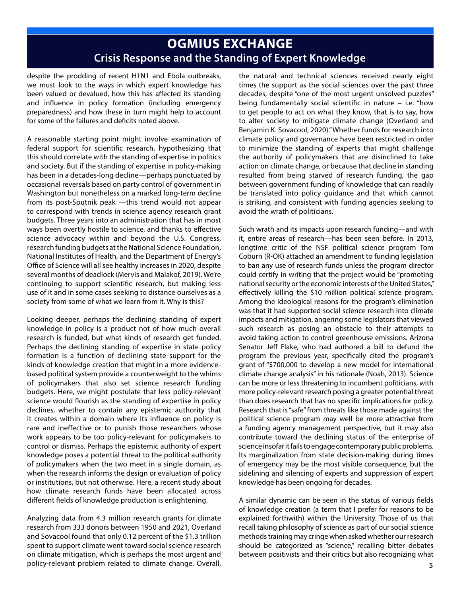# **OGMIUS EXCHANGE Crisis Response and the Standing of Expert Knowledge**

despite the prodding of recent H1N1 and Ebola outbreaks, we must look to the ways in which expert knowledge has been valued or devalued, how this has affected its standing and influence in policy formation (including emergency preparedness) and how these in turn might help to account for some of the failures and deficits noted above.

A reasonable starting point might involve examination of federal support for scientific research, hypothesizing that this should correlate with the standing of expertise in politics and society. But if the standing of expertise in policy-making has been in a decades-long decline—perhaps punctuated by occasional reversals based on party control of government in Washington but nonetheless on a marked long-term decline from its post-Sputnik peak —this trend would not appear to correspond with trends in science agency research grant budgets. Three years into an administration that has in most ways been overtly hostile to science, and thanks to effective science advocacy within and beyond the U.S. Congress, research funding budgets at the National Science Foundation, National Institutes of Health, and the Department of Energy's Office of Science will all see healthy increases in 2020, despite several months of deadlock (Mervis and Malakof, 2019). We're continuing to support scientific research, but making less use of it and in some cases seeking to distance ourselves as a society from some of what we learn from it. Why is this?

Looking deeper, perhaps the declining standing of expert knowledge in policy is a product not of how much overall research is funded, but what kinds of research get funded. Perhaps the declining standing of expertise in state policy formation is a function of declining state support for the kinds of knowledge creation that might in a more evidencebased political system provide a counterweight to the whims of policymakers that also set science research funding budgets. Here, we might postulate that less policy-relevant science would flourish as the standing of expertise in policy declines, whether to contain any epistemic authority that it creates within a domain where its influence on policy is rare and ineffective or to punish those researchers whose work appears to be too policy-relevant for policymakers to control or dismiss. Perhaps the epistemic authority of expert knowledge poses a potential threat to the political authority of policymakers when the two meet in a single domain, as when the research informs the design or evaluation of policy or institutions, but not otherwise. Here, a recent study about how climate research funds have been allocated across different fields of knowledge production is enlightening.

Analyzing data from 4.3 million research grants for climate research from 333 donors between 1950 and 2021, Overland and Sovacool found that only 0.12 percent of the \$1.3 trillion spent to support climate went toward social science research on climate mitigation, which is perhaps the most urgent and policy-relevant problem related to climate change. Overall,

the natural and technical sciences received nearly eight times the support as the social sciences over the past three decades, despite "one of the most urgent unsolved puzzles" being fundamentally social scientific in nature – i.e. "how to get people to act on what they know, that is to say, how to alter society to mitigate climate change (Overland and Benjamin K. Sovacool, 2020)." Whether funds for research into climate policy and governance have been restricted in order to minimize the standing of experts that might challenge the authority of policymakers that are disinclined to take action on climate change, or because that decline in standing resulted from being starved of research funding, the gap between government funding of knowledge that can readily be translated into policy guidance and that which cannot is striking, and consistent with funding agencies seeking to avoid the wrath of politicians.

Such wrath and its impacts upon research funding—and with it, entire areas of research—has been seen before. In 2013, longtime critic of the NSF political science program Tom Coburn (R-OK) attached an amendment to funding legislation to ban any use of research funds unless the program director could certify in writing that the project would be "promoting national security or the economic interests of the United States," effectively killing the \$10 million political science program. Among the ideological reasons for the program's elimination was that it had supported social science research into climate impacts and mitigation, angering some legislators that viewed such research as posing an obstacle to their attempts to avoid taking action to control greenhouse emissions. Arizona Senator Jeff Flake, who had authored a bill to defund the program the previous year, specifically cited the program's grant of "\$700,000 to develop a new model for international climate change analysis" in his rationale (Noah, 2013). Science can be more or less threatening to incumbent politicians, with more policy-relevant research posing a greater potential threat than does research that has no specific implications for policy. Research that is "safe" from threats like those made against the political science program may well be more attractive from a funding agency management perspective, but it may also contribute toward the declining status of the enterprise of science insofar it fails to engage contemporary public problems. Its marginalization from state decision-making during times of emergency may be the most visible consequence, but the sidelining and silencing of experts and suppression of expert knowledge has been ongoing for decades.

A similar dynamic can be seen in the status of various fields of knowledge creation (a term that I prefer for reasons to be explained forthwith) within the University. Those of us that recall taking philosophy of science as part of our social science methods training may cringe when asked whether our research should be categorized as "science," recalling bitter debates between positivists and their critics but also recognizing what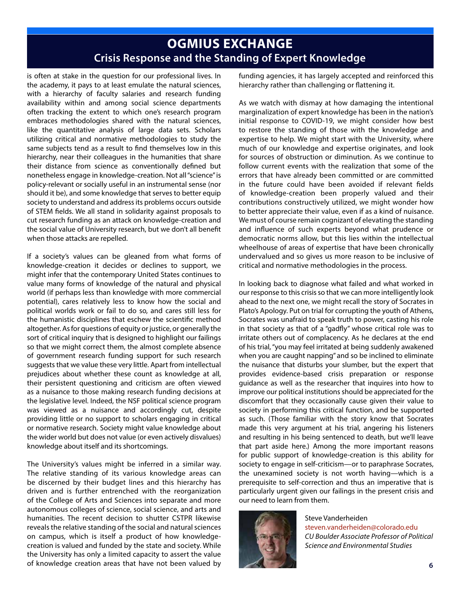## **OGMIUS EXCHANGE Crisis Response and the Standing of Expert Knowledge**

is often at stake in the question for our professional lives. In the academy, it pays to at least emulate the natural sciences, with a hierarchy of faculty salaries and research funding availability within and among social science departments often tracking the extent to which one's research program embraces methodologies shared with the natural sciences, like the quantitative analysis of large data sets. Scholars utilizing critical and normative methodologies to study the same subjects tend as a result to find themselves low in this hierarchy, near their colleagues in the humanities that share their distance from science as conventionally defined but nonetheless engage in knowledge-creation. Not all "science" is policy-relevant or socially useful in an instrumental sense (nor should it be), and some knowledge that serves to better equip society to understand and address its problems occurs outside of STEM fields. We all stand in solidarity against proposals to cut research funding as an attack on knowledge-creation and the social value of University research, but we don't all benefit when those attacks are repelled.

If a society's values can be gleaned from what forms of knowledge-creation it decides or declines to support, we might infer that the contemporary United States continues to value many forms of knowledge of the natural and physical world (if perhaps less than knowledge with more commercial potential), cares relatively less to know how the social and political worlds work or fail to do so, and cares still less for the humanistic disciplines that eschew the scientific method altogether. As for questions of equity or justice, or generally the sort of critical inquiry that is designed to highlight our failings so that we might correct them, the almost complete absence of government research funding support for such research suggests that we value these very little. Apart from intellectual prejudices about whether these count as knowledge at all, their persistent questioning and criticism are often viewed as a nuisance to those making research funding decisions at the legislative level. Indeed, the NSF political science program was viewed as a nuisance and accordingly cut, despite providing little or no support to scholars engaging in critical or normative research. Society might value knowledge about the wider world but does not value (or even actively disvalues) knowledge about itself and its shortcomings.

The University's values might be inferred in a similar way. The relative standing of its various knowledge areas can be discerned by their budget lines and this hierarchy has driven and is further entrenched with the reorganization of the College of Arts and Sciences into separate and more autonomous colleges of science, social science, and arts and humanities. The recent decision to shutter CSTPR likewise reveals the relative standing of the social and natural sciences on campus, which is itself a product of how knowledgecreation is valued and funded by the state and society. While the University has only a limited capacity to assert the value of knowledge creation areas that have not been valued by funding agencies, it has largely accepted and reinforced this hierarchy rather than challenging or flattening it.

As we watch with dismay at how damaging the intentional marginalization of expert knowledge has been in the nation's initial response to COVID-19, we might consider how best to restore the standing of those with the knowledge and expertise to help. We might start with the University, where much of our knowledge and expertise originates, and look for sources of obstruction or diminution. As we continue to follow current events with the realization that some of the errors that have already been committed or are committed in the future could have been avoided if relevant fields of knowledge-creation been properly valued and their contributions constructively utilized, we might wonder how to better appreciate their value, even if as a kind of nuisance. We must of course remain cognizant of elevating the standing and influence of such experts beyond what prudence or democratic norms allow, but this lies within the intellectual wheelhouse of areas of expertise that have been chronically undervalued and so gives us more reason to be inclusive of critical and normative methodologies in the process.

In looking back to diagnose what failed and what worked in our response to this crisis so that we can more intelligently look ahead to the next one, we might recall the story of Socrates in Plato's Apology. Put on trial for corrupting the youth of Athens, Socrates was unafraid to speak truth to power, casting his role in that society as that of a "gadfly" whose critical role was to irritate others out of complacency. As he declares at the end of his trial, "you may feel irritated at being suddenly awakened when you are caught napping" and so be inclined to eliminate the nuisance that disturbs your slumber, but the expert that provides evidence-based crisis preparation or response guidance as well as the researcher that inquires into how to improve our political institutions should be appreciated for the discomfort that they occasionally cause given their value to society in performing this critical function, and be supported as such. (Those familiar with the story know that Socrates made this very argument at his trial, angering his listeners and resulting in his being sentenced to death, but we'll leave that part aside here.) Among the more important reasons for public support of knowledge-creation is this ability for society to engage in self-criticism—or to paraphrase Socrates, the unexamined society is not worth having—which is a prerequisite to self-correction and thus an imperative that is particularly urgent given our failings in the present crisis and our need to learn from them.



Steve Vanderheiden steven.vanderheiden@colorado.edu *CU Boulder Associate Professor of Political Science and Environmental Studies*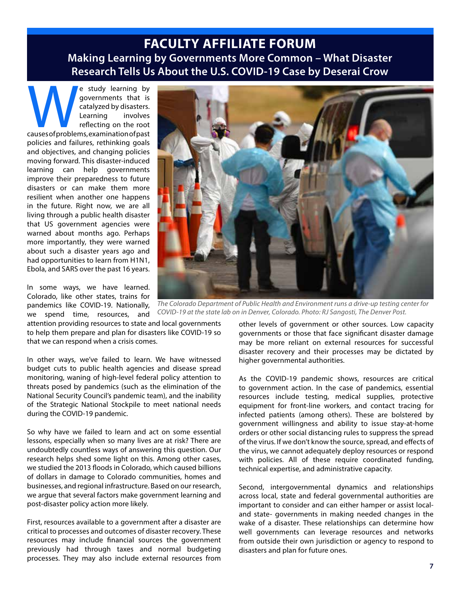### **FACULTY AFFILIATE FORUM Making Learning by Governments More Common – What Disaster Research Tells Us About the U.S. COVID-19 Case by Deserai Crow**

e study learning by governments that is catalyzed by disasters.<br>Learning involves reflecting on the root causes of problems, examination of past governments that is catalyzed by disasters. Learning involves reflecting on the root policies and failures, rethinking goals and objectives, and changing policies moving forward. This disaster-induced learning can help governments improve their preparedness to future disasters or can make them more resilient when another one happens in the future. Right now, we are all living through a public health disaster that US government agencies were warned about months ago. Perhaps more importantly, they were warned about such a disaster years ago and had opportunities to learn from H1N1, Ebola, and SARS over the past 16 years.

In some ways, we have learned. Colorado, like other states, trains for pandemics like COVID-19. Nationally, we spend time, resources, and

attention providing resources to state and local governments to help them prepare and plan for disasters like COVID-19 so that we can respond when a crisis comes.

In other ways, we've failed to learn. We have witnessed budget cuts to public health agencies and disease spread monitoring, waning of high-level federal policy attention to threats posed by pandemics (such as the elimination of the National Security Council's pandemic team), and the inability of the Strategic National Stockpile to meet national needs during the COVID-19 pandemic.

So why have we failed to learn and act on some essential lessons, especially when so many lives are at risk? There are undoubtedly countless ways of answering this question. Our research helps shed some light on this. Among other cases, we studied the 2013 floods in Colorado, which caused billions of dollars in damage to Colorado communities, homes and businesses, and regional infrastructure. Based on our research, we argue that several factors make government learning and post-disaster policy action more likely.

First, resources available to a government after a disaster are critical to processes and outcomes of disaster recovery. These resources may include financial sources the government previously had through taxes and normal budgeting processes. They may also include external resources from



*The Colorado Department of Public Health and Environment runs a drive-up testing center for COVID-19 at the state lab on in Denver, Colorado. Photo: RJ Sangosti, The Denver Post.*

other levels of government or other sources. Low capacity governments or those that face significant disaster damage may be more reliant on external resources for successful disaster recovery and their processes may be dictated by higher governmental authorities.

As the COVID-19 pandemic shows, resources are critical to government action. In the case of pandemics, essential resources include testing, medical supplies, protective equipment for front-line workers, and contact tracing for infected patients (among others). These are bolstered by government willingness and ability to issue stay-at-home orders or other social distancing rules to suppress the spread of the virus. If we don't know the source, spread, and effects of the virus, we cannot adequately deploy resources or respond with policies. All of these require coordinated funding, technical expertise, and administrative capacity.

Second, intergovernmental dynamics and relationships across local, state and federal governmental authorities are important to consider and can either hamper or assist localand state- governments in making needed changes in the wake of a disaster. These relationships can determine how well governments can leverage resources and networks from outside their own jurisdiction or agency to respond to disasters and plan for future ones.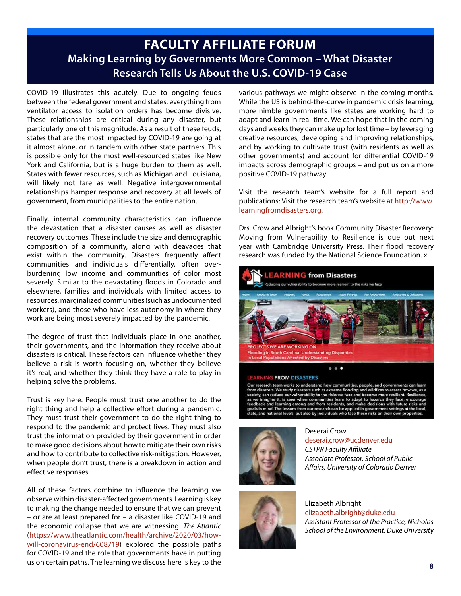### **FACULTY AFFILIATE FORUM Making Learning by Governments More Common – What Disaster Research Tells Us About the U.S. COVID-19 Case**

COVID-19 illustrates this acutely. Due to ongoing feuds between the federal government and states, everything from ventilator access to isolation orders has become divisive. These relationships are critical during any disaster, but particularly one of this magnitude. As a result of these feuds, states that are the most impacted by COVID-19 are going at it almost alone, or in tandem with other state partners. This is possible only for the most well-resourced states like New York and California, but is a huge burden to them as well. States with fewer resources, such as Michigan and Louisiana, will likely not fare as well. Negative intergovernmental relationships hamper response and recovery at all levels of government, from municipalities to the entire nation.

Finally, internal community characteristics can influence the devastation that a disaster causes as well as disaster recovery outcomes. These include the size and demographic composition of a community, along with cleavages that exist within the community. Disasters frequently affect communities and individuals differentially, often overburdening low income and communities of color most severely. Similar to the devastating floods in Colorado and elsewhere, families and individuals with limited access to resources, marginalized communities (such as undocumented workers), and those who have less autonomy in where they work are being most severely impacted by the pandemic.

The degree of trust that individuals place in one another, their governments, and the information they receive about disasters is critical. These factors can influence whether they believe a risk is worth focusing on, whether they believe it's real, and whether they think they have a role to play in helping solve the problems.

Trust is key here. People must trust one another to do the right thing and help a collective effort during a pandemic. They must trust their government to do the right thing to respond to the pandemic and protect lives. They must also trust the information provided by their government in order to make good decisions about how to mitigate their own risks and how to contribute to collective risk-mitigation. However, when people don't trust, there is a breakdown in action and effective responses.

All of these factors combine to influence the learning we observe within disaster-affected governments. Learning is key to making the change needed to ensure that we can prevent – or are at least prepared for – a disaster like COVID-19 and the economic collapse that we are witnessing. *The Atlantic* (https://www.theatlantic.com/health/archive/2020/03/howwill-coronavirus-end/608719) explored the possible paths for COVID-19 and the role that governments have in putting us on certain paths. The learning we discuss here is key to the

various pathways we might observe in the coming months. While the US is behind-the-curve in pandemic crisis learning, more nimble governments like states are working hard to adapt and learn in real-time. We can hope that in the coming days and weeks they can make up for lost time – by leveraging creative resources, developing and improving relationships, and by working to cultivate trust (with residents as well as other governments) and account for differential COVID-19 impacts across demographic groups – and put us on a more positive COVID-19 pathway.

Visit the research team's website for a full report and publications: Visit the research team's website at http://www. learningfromdisasters.org.

Drs. Crow and Albright's book Community Disaster Recovery: Moving from Vulnerability to Resilience is due out next year with Cambridge University Press. Their flood recovery research was funded by the National Science Foundation..x



Our research team works to understand how communities, people, and government<br>from disasters. We study disasters such as extreme flooding and wildfires to assess he<br>society, can reduce our vulnerability to the risks we fac See the magnitude and learning among and from residents, and make decisions with<br>goals in mind. The lessons from our research can be applied in government setti<br>state, and national levels, but also by individuals who face



### Deserai Crow

deserai.crow@ucdenver.edu *CSTPR Faculty Affiliate Associate Professor, School of Public Affairs, University of Colorado Denver*



Elizabeth Albright elizabeth.albright@duke.edu *Assistant Professor of the Practice, Nicholas School of the Environment, Duke University*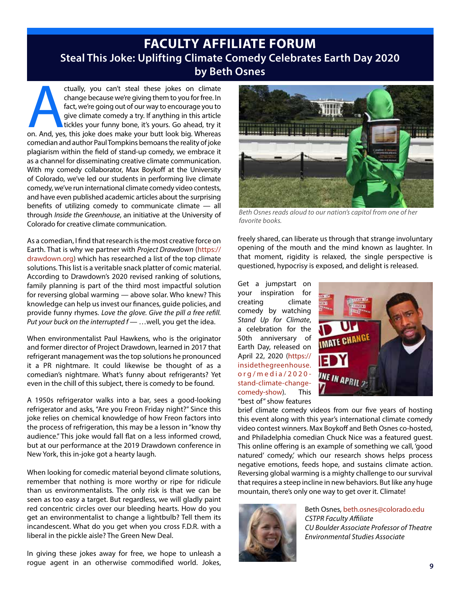### **FACULTY AFFILIATE FORUM Steal This Joke: Uplifting Climate Comedy Celebrates Earth Day 2020 by Beth Osnes**

ctually, you can't steal these jokes on climate<br>
change because we're giving them to you for free. In<br>
fact, we're going out of our way to encourage you to<br>
give climate comedy a try. If anything in this article<br>
tickles y change because we're giving them to you for free. In fact, we're going out of our way to encourage you to give climate comedy a try. If anything in this article tickles your funny bone, it's yours. Go ahead, try it comedian and author Paul Tompkins bemoans the reality of joke plagiarism within the field of stand-up comedy, we embrace it as a channel for disseminating creative climate communication. With my comedy collaborator, Max Boykoff at the University of Colorado, we've led our students in performing live climate comedy, we've run international climate comedy video contests, and have even published academic articles about the surprising benefits of utilizing comedy to communicate climate — all through *Inside the Greenhouse*, an initiative at the University of Colorado for creative climate communication.

As a comedian, I find that research is the most creative force on Earth. That is why we partner with *Project Drawdown* (https:// drawdown.org) which has researched a list of the top climate solutions. This list is a veritable snack platter of comic material. According to Drawdown's 2020 revised ranking of solutions, family planning is part of the third most impactful solution for reversing global warming — above solar. Who knew? This knowledge can help us invest our finances, guide policies, and provide funny rhymes. *Love the glove. Give the pill a free refill. Put your buck on the interrupted f —* …well, you get the idea.

When environmentalist Paul Hawkens, who is the originator and former director of Project Drawdown, learned in 2017 that refrigerant management was the top solutions he pronounced it a PR nightmare. It could likewise be thought of as a comedian's nightmare. What's funny about refrigerants? Yet even in the chill of this subject, there is comedy to be found.

A 1950s refrigerator walks into a bar, sees a good-looking refrigerator and asks, "Are you Freon Friday night?" Since this joke relies on chemical knowledge of how Freon factors into the process of refrigeration, this may be a lesson in "know thy audience." This joke would fall flat on a less informed crowd, but at our performance at the 2019 Drawdown conference in New York, this in-joke got a hearty laugh.

When looking for comedic material beyond climate solutions, remember that nothing is more worthy or ripe for ridicule than us environmentalists. The only risk is that we can be seen as too easy a target. But regardless, we will gladly paint red concentric circles over our bleeding hearts. How do you get an environmentalist to change a lightbulb? Tell them its incandescent. What do you get when you cross F.D.R. with a liberal in the pickle aisle? The Green New Deal.

In giving these jokes away for free, we hope to unleash a rogue agent in an otherwise commodified world. Jokes,



*Beth Osnes reads aloud to our nation's capitol from one of her favorite books.*

freely shared, can liberate us through that strange involuntary opening of the mouth and the mind known as laughter. In that moment, rigidity is relaxed, the single perspective is questioned, hypocrisy is exposed, and delight is released.

Get a jumpstart on your inspiration for creating climate comedy by watching *Stand Up for Climate*, a celebration for the 50th anniversary of Earth Day, released on April 22, 2020 (https:// insidethegreenhouse. org/media/2020 stand-climate-changecomedy-show). This "best of" show features



brief climate comedy videos from our five years of hosting this event along with this year's international climate comedy video contest winners. Max Boykoff and Beth Osnes co-hosted, and Philadelphia comedian Chuck Nice was a featured guest. This online offering is an example of something we call, 'good natured' comedy,' which our research shows helps process negative emotions, feeds hope, and sustains climate action. Reversing global warming is a mighty challenge to our survival that requires a steep incline in new behaviors. But like any huge mountain, there's only one way to get over it. Climate!



Beth Osnes, beth.osnes@colorado.edu *CSTPR Faculty Affiliate CU Boulder Associate Professor of Theatre Environmental Studies Associate*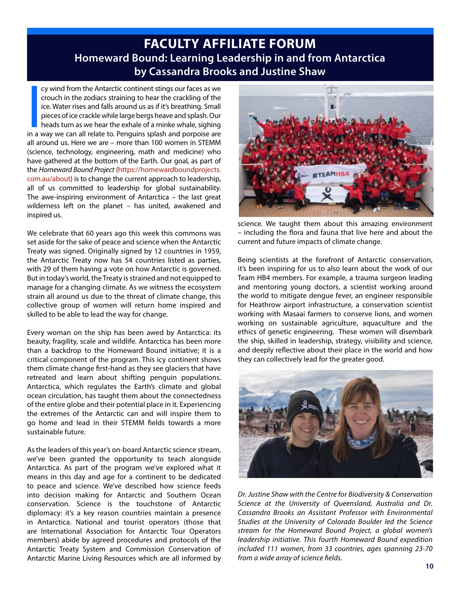### **FACULTY AFFILIATE FORUM Homeward Bound: Learning Leadership in and from Antarctica by Cassandra Brooks and Justine Shaw**

cy wind from the Antarctic continent stings our faces as we<br>crouch in the zodiacs straining to hear the crackling of the<br>ice. Water rises and falls around us as if it's breathing. Small<br>pieces of ice crackle while large be cy wind from the Antarctic continent stings our faces as we crouch in the zodiacs straining to hear the crackling of the ice. Water rises and falls around us as if it's breathing. Small pieces of ice crackle while large bergs heave and splash. Our heads turn as we hear the exhale of a minke whale, sighing all around us. Here we are – more than 100 women in STEMM (science, technology, engineering, math and medicine) who have gathered at the bottom of the Earth. Our goal, as part of the *Homeward Bound Project* (https://homewardboundprojects. com.au/about) is to change the current approach to leadership, all of us committed to leadership for global sustainability. The awe-inspiring environment of Antarctica – the last great wilderness left on the planet – has united, awakened and inspired us.

We celebrate that 60 years ago this week this commons was set aside for the sake of peace and science when the Antarctic Treaty was signed. Originally signed by 12 countries in 1959, the Antarctic Treaty now has 54 countries listed as parties, with 29 of them having a vote on how Antarctic is governed. But in today's world, the Treaty is strained and not equipped to manage for a changing climate. As we witness the ecosystem strain all around us due to the threat of climate change, this collective group of women will return home inspired and skilled to be able to lead the way for change.

Every woman on the ship has been awed by Antarctica: its beauty, fragility, scale and wildlife. Antarctica has been more than a backdrop to the Homeward Bound initiative; it is a critical component of the program. This icy continent shows them climate change first-hand as they see glaciers that have retreated and learn about shifting penguin populations. Antarctica, which regulates the Earth's climate and global ocean circulation, has taught them about the connectedness of the entire globe and their potential place in it. Experiencing the extremes of the Antarctic can and will inspire them to go home and lead in their STEMM fields towards a more sustainable future.

As the leaders of this year's on-board Antarctic science stream, we've been granted the opportunity to teach alongside Antarctica. As part of the program we've explored what it means in this day and age for a continent to be dedicated to peace and science. We've described how science feeds into decision making for Antarctic and Southern Ocean conservation. Science is the touchstone of Antarctic diplomacy: it's a key reason countries maintain a presence in Antarctica. National and tourist operators (those that are International Association for Antarctic Tour Operators members) abide by agreed procedures and protocols of the Antarctic Treaty System and Commission Conservation of Antarctic Marine Living Resources which are all informed by



science. We taught them about this amazing environment – including the flora and fauna that live here and about the current and future impacts of climate change.

Being scientists at the forefront of Antarctic conservation, it's been inspiring for us to also learn about the work of our Team HB4 members. For example, a trauma surgeon leading and mentoring young doctors, a scientist working around the world to mitigate dengue fever, an engineer responsible for Heathrow airport infrastructure, a conservation scientist working with Masaai farmers to conserve lions, and women working on sustainable agriculture, aquaculture and the ethics of genetic engineering. These women will disembark the ship, skilled in leadership, strategy, visibility and science, and deeply reflective about their place in the world and how they can collectively lead for the greater good.



*Dr. Justine Shaw with the Centre for Biodiversity & Conservation Science at the University of Queensland, Australia and Dr. Cassandra Brooks an Assistant Professor with Environmental Studies at the University of Colorado Boulder led the Science stream for the Homeward Bound Project, a global women's leadership initiative. This fourth Homeward Bound expedition included 111 women, from 33 countries, ages spanning 23-70 from a wide array of science fields.*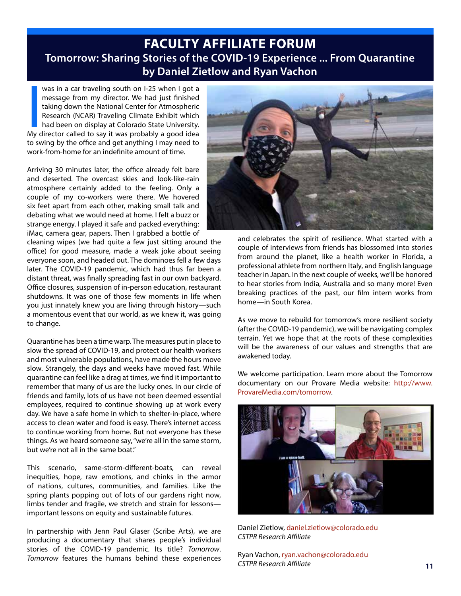### **FACULTY AFFILIATE FORUM Tomorrow: Sharing Stories of the COVID-19 Experience ... From Quarantine by Daniel Zietlow and Ryan Vachon**

was in a car traveling south on I-25 when I got a<br>message from my director. We had just finished<br>taking down the National Center for Atmospheric<br>Research (NCAR) Traveling Climate Exhibit which<br>had been on display at Colora was in a car traveling south on I-25 when I got a message from my director. We had just finished taking down the National Center for Atmospheric Research (NCAR) Traveling Climate Exhibit which had been on display at Colorado State University. to swing by the office and get anything I may need to work-from-home for an indefinite amount of time.

Arriving 30 minutes later, the office already felt bare and deserted. The overcast skies and look-like-rain atmosphere certainly added to the feeling. Only a couple of my co-workers were there. We hovered six feet apart from each other, making small talk and debating what we would need at home. I felt a buzz or strange energy. I played it safe and packed everything: iMac, camera gear, papers. Then I grabbed a bottle of

cleaning wipes (we had quite a few just sitting around the office) for good measure, made a weak joke about seeing everyone soon, and headed out. The dominoes fell a few days later. The COVID-19 pandemic, which had thus far been a distant threat, was finally spreading fast in our own backyard. Office closures, suspension of in-person education, restaurant shutdowns. It was one of those few moments in life when you just innately knew you are living through history—such a momentous event that our world, as we knew it, was going to change.

Quarantine has been a time warp. The measures put in place to slow the spread of COVID-19, and protect our health workers and most vulnerable populations, have made the hours move slow. Strangely, the days and weeks have moved fast. While quarantine can feel like a drag at times, we find it important to remember that many of us are the lucky ones. In our circle of friends and family, lots of us have not been deemed essential employees, required to continue showing up at work every day. We have a safe home in which to shelter-in-place, where access to clean water and food is easy. There's internet access to continue working from home. But not everyone has these things. As we heard someone say, "we're all in the same storm, but we're not all in the same boat."

This scenario, same-storm-different-boats, can reveal inequities, hope, raw emotions, and chinks in the armor of nations, cultures, communities, and families. Like the spring plants popping out of lots of our gardens right now, limbs tender and fragile, we stretch and strain for lessons important lessons on equity and sustainable futures.

In partnership with Jenn Paul Glaser (Scribe Arts), we are producing a documentary that shares people's individual stories of the COVID-19 pandemic. Its title? *Tomorrow*. *Tomorrow* features the humans behind these experiences



and celebrates the spirit of resilience. What started with a couple of interviews from friends has blossomed into stories from around the planet, like a health worker in Florida, a professional athlete from northern Italy, and English language teacher in Japan. In the next couple of weeks, we'll be honored to hear stories from India, Australia and so many more! Even breaking practices of the past, our film intern works from home—in South Korea.

As we move to rebuild for tomorrow's more resilient society (after the COVID-19 pandemic), we will be navigating complex terrain. Yet we hope that at the roots of these complexities will be the awareness of our values and strengths that are awakened today.

We welcome participation. Learn more about the Tomorrow documentary on our Provare Media website: http://www. ProvareMedia.com/tomorrow.



Daniel Zietlow, daniel.zietlow@colorado.edu *CSTPR Research Affiliate*

Ryan Vachon, ryan.vachon@colorado.edu *CSTPR Research Affiliate*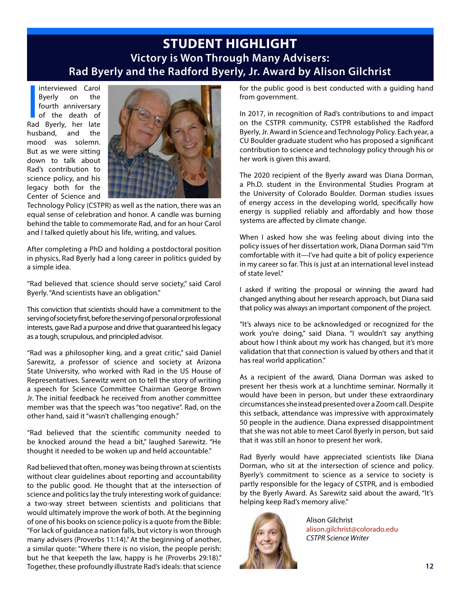### **STUDENT HIGHLIGHT Victory is Won Through Many Advisers: Rad Byerly and the Radford Byerly, Jr. Award by Alison Gilchrist**

Interviewed Carol<br>Byerly on the<br>fourth anniversary<br>of the death of<br>Rad Byerly, her late interviewed Carol Byerly on the fourth anniversary of the death of husband, and the mood was solemn. But as we were sitting down to talk about Rad's contribution to science policy, and his legacy both for the Center of Science and



Technology Policy (CSTPR) as well as the nation, there was an equal sense of celebration and honor. A candle was burning behind the table to commemorate Rad, and for an hour Carol and I talked quietly about his life, writing, and values.

After completing a PhD and holding a postdoctoral position in physics, Rad Byerly had a long career in politics guided by a simple idea.

"Rad believed that science should serve society," said Carol Byerly. "And scientists have an obligation."

This conviction that scientists should have a commitment to the serving of society first, before the serving of personal or professional interests, gave Rad a purpose and drive that guaranteed his legacy as a tough, scrupulous, and principled advisor.

"Rad was a philosopher king, and a great critic," said Daniel Sarewitz, a professor of science and society at Arizona State University, who worked with Rad in the US House of Representatives. Sarewitz went on to tell the story of writing a speech for Science Committee Chairman George Brown Jr. The initial feedback he received from another committee member was that the speech was "too negative". Rad, on the other hand, said it "wasn't challenging enough."

"Rad believed that the scientific community needed to be knocked around the head a bit," laughed Sarewitz. "He thought it needed to be woken up and held accountable."

Rad believed that often, money was being thrown at scientists without clear guidelines about reporting and accountability to the public good. He thought that at the intersection of science and politics lay the truly interesting work of guidance: a two-way street between scientists and politicians that would ultimately improve the work of both. At the beginning of one of his books on science policy is a quote from the Bible: "For lack of guidance a nation falls, but victory is won through many advisers (Proverbs 11:14)." At the beginning of another, a similar quote: "Where there is no vision, the people perish: but he that keepeth the law, happy is he (Proverbs 29:18)." Together, these profoundly illustrate Rad's ideals: that science

for the public good is best conducted with a guiding hand from government.

In 2017, in recognition of Rad's contributions to and impact on the CSTPR community, CSTPR established the Radford Byerly, Jr. Award in Science and Technology Policy. Each year, a CU Boulder graduate student who has proposed a significant contribution to science and technology policy through his or her work is given this award.

The 2020 recipient of the Byerly award was Diana Dorman, a Ph.D. student in the Environmental Studies Program at the University of Colorado Boulder. Dorman studies issues of energy access in the developing world, specifically how energy is supplied reliably and affordably and how those systems are affected by climate change.

When I asked how she was feeling about diving into the policy issues of her dissertation work, Diana Dorman said "I'm comfortable with it—I've had quite a bit of policy experience in my career so far. This is just at an international level instead of state level."

I asked if writing the proposal or winning the award had changed anything about her research approach, but Diana said that policy was always an important component of the project.

"It's always nice to be acknowledged or recognized for the work you're doing," said Diana. "I wouldn't say anything about how I think about my work has changed, but it's more validation that that connection is valued by others and that it has real world application."

As a recipient of the award, Diana Dorman was asked to present her thesis work at a lunchtime seminar. Normally it would have been in person, but under these extraordinary circumstances she instead presented over a Zoom call. Despite this setback, attendance was impressive with approximately 50 people in the audience. Diana expressed disappointment that she was not able to meet Carol Byerly in person, but said that it was still an honor to present her work.

Rad Byerly would have appreciated scientists like Diana Dorman, who sit at the intersection of science and policy. Byerly's commitment to science as a service to society is partly responsible for the legacy of CSTPR, and is embodied by the Byerly Award. As Sarewitz said about the award, "It's helping keep Rad's memory alive."



Alison Gilchrist alison.gilchrist@colorado.edu *CSTPR Science Writer*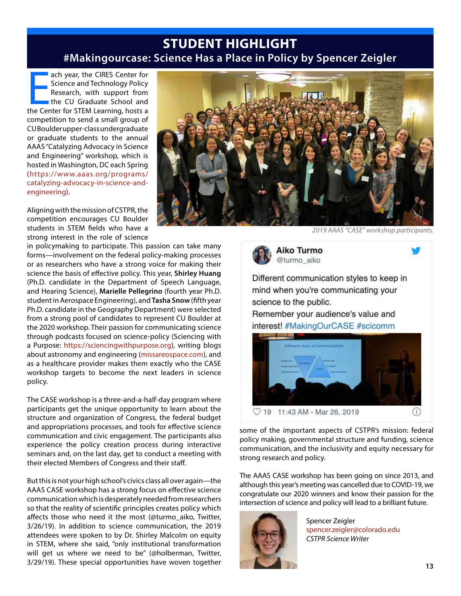### **STUDENT HIGHLIGHT #Makingourcase: Science Has a Place in Policy by Spencer Zeigler**

ach year, the CIRES Center for<br>Science and Technology Policy<br>Research, with support from<br>the CU Graduate School and<br>the Center for STEM Learning, hosts a ach year, the CIRES Center for Science and Technology Policy Research, with support from the CU Graduate School and competition to send a small group of CU Boulder upper-class undergraduate or graduate students to the annual AAAS "Catalyzing Advocacy in Science and Engineering" workshop, which is hosted in Washington, DC each Spring (https://www.aaas.org/programs/ catalyzing-advocacy-in-science-andengineering).

Aligning with the mission of CSTPR, the competition encourages CU Boulder students in STEM fields who have a strong interest in the role of science

in policymaking to participate. This passion can take many forms—involvement on the federal policy-making processes or as researchers who have a strong voice for making their science the basis of effective policy. This year, **Shirley Huang** (Ph.D. candidate in the Department of Speech Language, and Hearing Science), **Marielle Pellegrino** (fourth year Ph.D. student in Aerospace Engineering), and **Tasha Snow** (fifth year Ph.D. candidate in the Geography Department) were selected from a strong pool of candidates to represent CU Boulder at the 2020 workshop. Their passion for communicating science through podcasts focused on science-policy (Sciencing with a Purpose: https://sciencingwithpurpose.org), writing blogs about astronomy and engineering (missareospace.com), and as a healthcare provider makes them exactly who the CASE workshop targets to become the next leaders in science policy.

The CASE workshop is a three-and-a-half-day program where participants get the unique opportunity to learn about the structure and organization of Congress, the federal budget and appropriations processes, and tools for effective science communication and civic engagement. The participants also experience the policy creation process during interactive seminars and, on the last day, get to conduct a meeting with their elected Members of Congress and their staff.

But this is not your high school's civics class all over again—the AAAS CASE workshop has a strong focus on effective science communication which is desperately needed from researchers so that the reality of scientific principles creates policy which affects those who need it the most (@turmo\_aiko, Twitter, 3/26/19). In addition to science communication, the 2019 attendees were spoken to by Dr. Shirley Malcolm on equity in STEM, where she said, "only institutional transformation will get us where we need to be" (@holberman, Twitter, 3/29/19). These special opportunities have woven together



*2019 AAAS "CASE" workshop participants.*

Aiko Turmo @turmo aiko

Different communication styles to keep in mind when you're communicating your science to the public.

Remember your audience's value and interest! #MakingOurCASE #scicomm



some of the important aspects of CSTPR's mission: federal policy making, governmental structure and funding, science communication, and the inclusivity and equity necessary for strong research and policy.

The AAAS CASE workshop has been going on since 2013, and although this year's meeting was cancelled due to COVID-19, we congratulate our 2020 winners and know their passion for the intersection of science and policy will lead to a brilliant future.



Spencer Zeigler spencer.zeigler@colorado.edu *CSTPR Science Writer*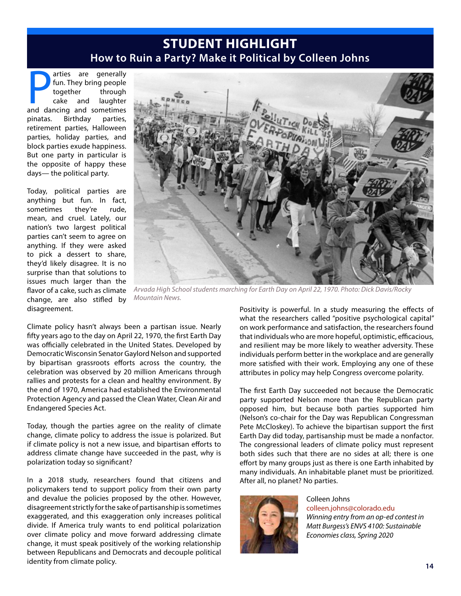### **STUDENT HIGHLIGHT How to Ruin a Party? Make it Political by Colleen Johns**

and ancience are generally<br>together through<br>cake and laughter<br>and dancing and sometimes arties are generally fun. They bring people together through cake and laughter pinatas. Birthday parties, retirement parties, Halloween parties, holiday parties, and block parties exude happiness. But one party in particular is the opposite of happy these days— the political party.

Today, political parties are anything but fun. In fact, sometimes they're rude, mean, and cruel. Lately, our nation's two largest political parties can't seem to agree on anything. If they were asked to pick a dessert to share, they'd likely disagree. It is no surprise than that solutions to issues much larger than the flavor of a cake, such as climate change, are also stifled by disagreement.



*Arvada High School students marching for Earth Day on April 22, 1970. Photo: Dick Davis/Rocky Mountain News.*

Climate policy hasn't always been a partisan issue. Nearly fifty years ago to the day on April 22, 1970, the first Earth Day was officially celebrated in the United States. Developed by Democratic Wisconsin Senator Gaylord Nelson and supported by bipartisan grassroots efforts across the country, the celebration was observed by 20 million Americans through rallies and protests for a clean and healthy environment. By the end of 1970, America had established the Environmental Protection Agency and passed the Clean Water, Clean Air and Endangered Species Act.

Today, though the parties agree on the reality of climate change, climate policy to address the issue is polarized. But if climate policy is not a new issue, and bipartisan efforts to address climate change have succeeded in the past, why is polarization today so significant?

In a 2018 study, researchers found that citizens and policymakers tend to support policy from their own party and devalue the policies proposed by the other. However, disagreement strictly for the sake of partisanship is sometimes exaggerated, and this exaggeration only increases political divide. If America truly wants to end political polarization over climate policy and move forward addressing climate change, it must speak positively of the working relationship between Republicans and Democrats and decouple political identity from climate policy.

Positivity is powerful. In a study measuring the effects of what the researchers called "positive psychological capital" on work performance and satisfaction, the researchers found that individuals who are more hopeful, optimistic, efficacious, and resilient may be more likely to weather adversity. These individuals perform better in the workplace and are generally more satisfied with their work. Employing any one of these attributes in policy may help Congress overcome polarity.

The first Earth Day succeeded not because the Democratic party supported Nelson more than the Republican party opposed him, but because both parties supported him (Nelson's co-chair for the Day was Republican Congressman Pete McCloskey). To achieve the bipartisan support the first Earth Day did today, partisanship must be made a nonfactor. The congressional leaders of climate policy must represent both sides such that there are no sides at all; there is one effort by many groups just as there is one Earth inhabited by many individuals. An inhabitable planet must be prioritized. After all, no planet? No parties.



Colleen Johns colleen.johns@colorado.edu *Winning entry from an op-ed contest in Matt Burgess's ENVS 4100: Sustainable Economies class, Spring 2020*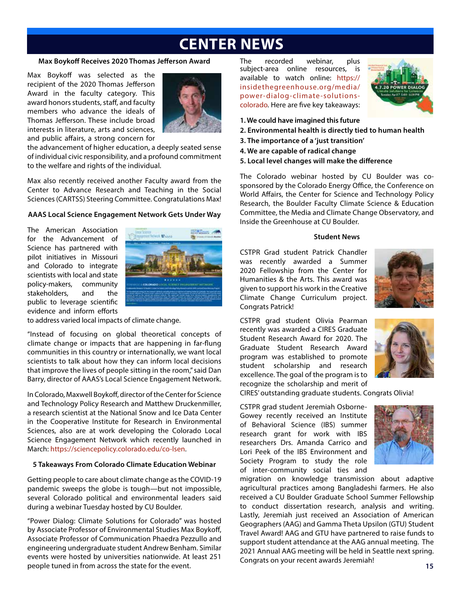# **CENTER NEWS**

#### **Max Boykoff Receives 2020 Thomas Jefferson Award**

Max Boykoff was selected as the recipient of the 2020 Thomas Jefferson Award in the faculty category. This award honors students, staff, and faculty members who advance the ideals of Thomas Jefferson. These include broad interests in literature, arts and sciences, and public affairs, a strong concern for



the advancement of higher education, a deeply seated sense of individual civic responsibility, and a profound commitment to the welfare and rights of the individual.

Max also recently received another Faculty award from the Center to Advance Research and Teaching in the Social Sciences (CARTSS) Steering Committee. Congratulations Max!

#### **AAAS Local Science Engagement Network Gets Under Way**

The American Association for the Advancement of Science has partnered with pilot initiatives in Missouri and Colorado to integrate scientists with local and state policy-makers, community stakeholders, and the public to leverage scientific evidence and inform efforts



to address varied local impacts of climate change.

"Instead of focusing on global theoretical concepts of climate change or impacts that are happening in far-flung communities in this country or internationally, we want local scientists to talk about how they can inform local decisions that improve the lives of people sitting in the room," said Dan Barry, director of AAAS's Local Science Engagement Network.

In Colorado, Maxwell Boykoff, director of the Center for Science and Technology Policy Research and Matthew Druckenmiller, a research scientist at the National Snow and Ice Data Center in the Cooperative Institute for Research in Environmental Sciences, also are at work developing the Colorado Local Science Engagement Network which recently launched in March: https://sciencepolicy.colorado.edu/co-lsen.

#### **5 Takeaways From Colorado Climate Education Webinar**

Getting people to care about climate change as the COVID-19 pandemic sweeps the globe is tough—but not impossible, several Colorado political and environmental leaders said during a webinar Tuesday hosted by CU Boulder.

"Power Dialog: Climate Solutions for Colorado" was hosted by Associate Professor of Environmental Studies Max Boykoff, Associate Professor of Communication Phaedra Pezzullo and engineering undergraduate student Andrew Benham. Similar events were hosted by universities nationwide. At least 251 people tuned in from across the state for the event.

The recorded webinar, plus subject-area online resources, is available to watch online: https:// insidethegreenhouse.org/media/ power-dialog-climate-solutionscolorado. Here are five key takeaways:



- **1. We could have imagined this future**
- **2. Environmental health is directly tied to human health**
- **3. The importance of a 'just transition'**
- **4. We are capable of radical change**
- **5. Local level changes will make the difference**

The Colorado webinar hosted by CU Boulder was cosponsored by the Colorado Energy Office, the Conference on World Affairs, the Center for Science and Technology Policy Research, the Boulder Faculty Climate Science & Education Committee, the Media and Climate Change Observatory, and Inside the Greenhouse at CU Boulder.

#### **Student News**

CSTPR Grad student Patrick Chandler was recently awarded a Summer 2020 Fellowship from the Center for Humanities & the Arts. This award was given to support his work in the Creative Climate Change Curriculum project. Congrats Patrick!



CSTPR grad student Olivia Pearman recently was awarded a CIRES Graduate Student Research Award for 2020. The Graduate Student Research Award program was established to promote student scholarship and research excellence. The goal of the program is to recognize the scholarship and merit of



CIRES' outstanding graduate students. Congrats Olivia!

CSTPR grad student Jeremiah Osborne-Gowey recently received an Institute of Behavioral Science (IBS) summer research grant for work with IBS researchers Drs. Amanda Carrico and Lori Peek of the IBS Environment and Society Program to study the role of inter-community social ties and



migration on knowledge transmission about adaptive agricultural practices among Bangladeshi farmers. He also received a CU Boulder Graduate School Summer Fellowship to conduct dissertation research, analysis and writing. Lastly, Jeremiah just received an Association of American Geographers (AAG) and Gamma Theta Upsilon (GTU) Student Travel Award! AAG and GTU have partnered to raise funds to support student attendance at the AAG annual meeting. The 2021 Annual AAG meeting will be held in Seattle next spring. Congrats on your recent awards Jeremiah!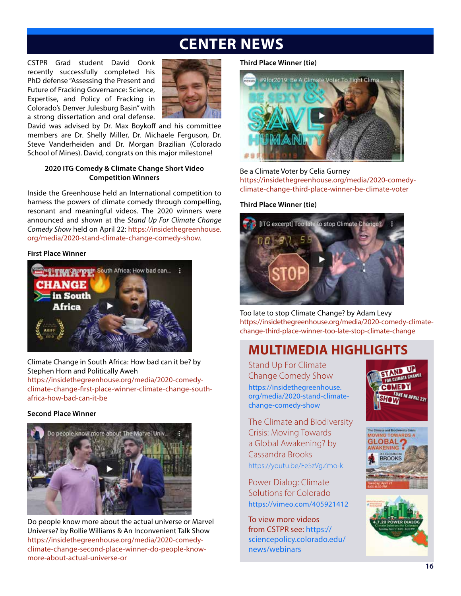# **CENTER NEWS**

CSTPR Grad student David Oonk recently successfully completed his PhD defense "Assessing the Present and Future of Fracking Governance: Science, Expertise, and Policy of Fracking in Colorado's Denver Julesburg Basin" with a strong dissertation and oral defense.



David was advised by Dr. Max Boykoff and his committee members are Dr. Shelly Miller, Dr. Michaele Ferguson, Dr. Steve Vanderheiden and Dr. Morgan Brazilian (Colorado School of Mines). David, congrats on this major milestone!

#### **2020 ITG Comedy & Climate Change Short Video Competition Winners**

Inside the Greenhouse held an International competition to harness the powers of climate comedy through compelling, resonant and meaningful videos. The 2020 winners were announced and shown at the *Stand Up For Climate Change Comedy Show* held on April 22: https://insidethegreenhouse. org/media/2020-stand-climate-change-comedy-show.

#### **First Place Winner**



Climate Change in South Africa: How bad can it be? by Stephen Horn and Politically Aweh https://insidethegreenhouse.org/media/2020-comedyclimate-change-first-place-winner-climate-change-southafrica-how-bad-can-it-be

#### **Second Place Winner**



Do people know more about the actual universe or Marvel Universe? by Rollie Williams & An Inconvenient Talk Show https://insidethegreenhouse.org/media/2020-comedyclimate-change-second-place-winner-do-people-knowmore-about-actual-universe-or

#### **Third Place Winner (tie)**



Be a Climate Voter by Celia Gurney https://insidethegreenhouse.org/media/2020-comedyclimate-change-third-place-winner-be-climate-voter

#### **Third Place Winner (tie)**



Too late to stop Climate Change? by Adam Levy https://insidethegreenhouse.org/media/2020-comedy-climatechange-third-place-winner-too-late-stop-climate-change

### **MULTIMEDIA HIGHLIGHTS**

Stand Up For Climate Change Comedy Show https://insidethegreenhouse. org/media/2020-stand-climatechange-comedy-show

The Climate and Biodiversity Crisis: Moving Towards a Global Awakening? by Cassandra Brooks https://youtu.be/FeSzVgZmo-k

Power Dialog: Climate Solutions for Colorado https://vimeo.com/405921412

To view more videos from CSTPR see: https:// sciencepolicy.colorado.edu/ news/webinars





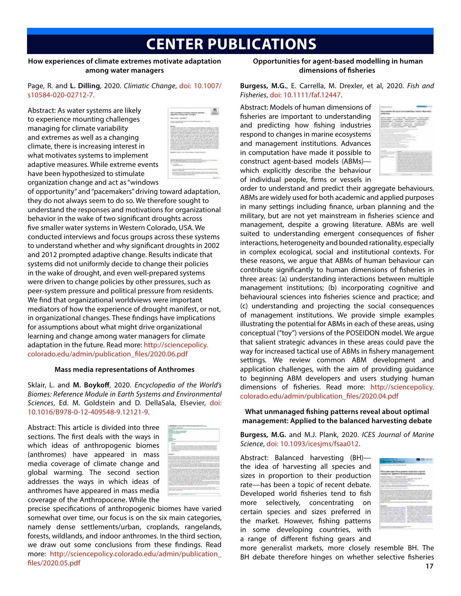# **CENTER PUBLICATIONS**

#### **How experiences of climate extremes motivate adaptation among water managers**

Page, R. and **L. Dilling**, 2020. *Climatic Change*, doi: 10.1007/ s10584-020-02712-7.

Abstract: As water systems are likely to experience mounting challenges managing for climate variability and extremes as well as a changing climate, there is increasing interest in what motivates systems to implement adaptive measures. While extreme events have been hypothesized to stimulate organization change and act as "windows



of opportunity" and "pacemakers" driving toward adaptation, they do not always seem to do so. We therefore sought to understand the responses and motivations for organizational behavior in the wake of two significant droughts across five smaller water systems in Western Colorado, USA. We conducted interviews and focus groups across these systems to understand whether and why significant droughts in 2002 and 2012 prompted adaptive change. Results indicate that systems did not uniformly decide to change their policies in the wake of drought, and even well-prepared systems were driven to change policies by other pressures, such as peer-system pressure and political pressure from residents. We find that organizational worldviews were important mediators of how the experience of drought manifest, or not, in organizational changes. These findings have implications for assumptions about what might drive organizational learning and change among water managers for climate adaptation in the future. Read more: http://sciencepolicy. colorado.edu/admin/publication\_files/2020.06.pdf

#### **Mass media representations of Anthromes**

Sklair, L. and **M. Boykoff**, 2020. *Encyclopedia of the World's Biomes: Reference Module in Earth Systems and Environmental Sciences*, Ed. M. Goldstein and D. DellaSala, Elsevier, doi: 10.1016/B978-0-12-409548-9.12121-9.

Abstract: This article is divided into three sections. The first deals with the ways in which ideas of anthropogenic biomes (anthromes) have appeared in mass media coverage of climate change and global warming. The second section addresses the ways in which ideas of anthromes have appeared in mass media coverage of the Anthropocene. While the



precise specifications of anthropogenic biomes have varied somewhat over time, our focus is on the six main categories, namely dense settlements/urban, croplands, rangelands, forests, wildlands, and indoor anthromes. In the third section, we draw out some conclusions from these findings. Read more: http://sciencepolicy.colorado.edu/admin/publication\_ files/2020.05.pdf

#### **Opportunities for agent-based modelling in human dimensions of fisheries**

#### **Burgess, M.G.**, E. Carrella, M. Drexler, et al, 2020. *Fish and Fisheries*, doi: 10.1111/faf.12447.

Abstract: Models of human dimensions of fisheries are important to understanding and predicting how fishing industries respond to changes in marine ecosystems and management institutions. Advances in computation have made it possible to construct agent‐based models (ABMs) which explicitly describe the behaviour of individual people, firms or vessels in



order to understand and predict their aggregate behaviours. ABMs are widely used for both academic and applied purposes in many settings including finance, urban planning and the military, but are not yet mainstream in fisheries science and management, despite a growing literature. ABMs are well suited to understanding emergent consequences of fisher interactions, heterogeneity and bounded rationality, especially in complex ecological, social and institutional contexts. For these reasons, we argue that ABMs of human behaviour can contribute significantly to human dimensions of fisheries in three areas: (a) understanding interactions between multiple management institutions; (b) incorporating cognitive and behavioural sciences into fisheries science and practice; and (c) understanding and projecting the social consequences of management institutions. We provide simple examples illustrating the potential for ABMs in each of these areas, using conceptual ("toy") versions of the POSEIDON model. We argue that salient strategic advances in these areas could pave the way for increased tactical use of ABMs in fishery management settings. We review common ABM development and application challenges, with the aim of providing guidance to beginning ABM developers and users studying human dimensions of fisheries. Read more: http://sciencepolicy. colorado.edu/admin/publication\_files/2020.04.pdf

**What unmanaged fishing patterns reveal about optimal management: Applied to the balanced harvesting debate**

**Burgess, M.G.** and M.J. Plank, 2020. *ICES Journal of Marine Science*, doi: 10.1093/icesjms/fsaa012.

Abstract: Balanced harvesting (BH) the idea of harvesting all species and sizes in proportion to their production rate—has been a topic of recent debate. Developed world fisheries tend to fish more selectively, concentrating on certain species and sizes preferred in the market. However, fishing patterns in some developing countries, with a range of different fishing gears and



more generalist markets, more closely resemble BH. The BH debate therefore hinges on whether selective fisheries